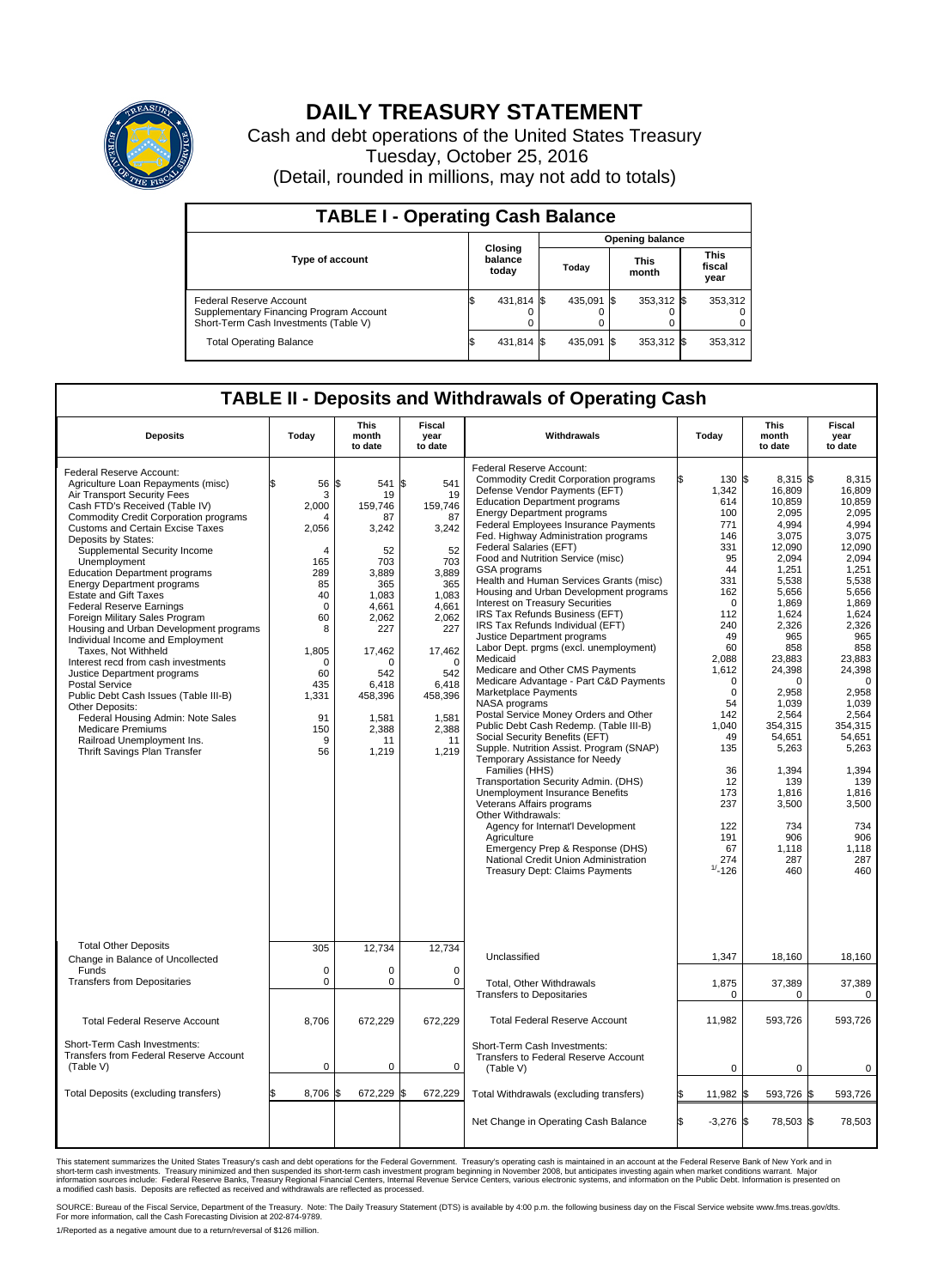

## **DAILY TREASURY STATEMENT**

Cash and debt operations of the United States Treasury Tuesday, October 25, 2016 (Detail, rounded in millions, may not add to totals)

| <b>TABLE I - Operating Cash Balance</b>                                                                     |                             |            |       |                        |                      |              |                               |         |  |  |
|-------------------------------------------------------------------------------------------------------------|-----------------------------|------------|-------|------------------------|----------------------|--------------|-------------------------------|---------|--|--|
|                                                                                                             |                             |            |       | <b>Opening balance</b> |                      |              |                               |         |  |  |
| <b>Type of account</b>                                                                                      | Closing<br>balance<br>today |            | Today |                        | <b>This</b><br>month |              | <b>This</b><br>fiscal<br>year |         |  |  |
| Federal Reserve Account<br>Supplementary Financing Program Account<br>Short-Term Cash Investments (Table V) |                             | 431,814 \$ |       | 435.091 \$             |                      | $353,312$ \$ |                               | 353,312 |  |  |
| <b>Total Operating Balance</b>                                                                              |                             | 431,814 \$ |       | 435,091                | 15                   | 353,312 \$   |                               | 353,312 |  |  |

## **TABLE II - Deposits and Withdrawals of Operating Cash**

| <b>Deposits</b>                                                                                                                                                                                                                                                                                                                                                                                                                                                                                                                                                                                                                                                                                                                                                                                                                                                                    | Today                                                                                                                                                                      | <b>This</b><br>month<br>to date                                                                                                                                                      | <b>Fiscal</b><br>year<br>to date                                                                                                                                                            | Withdrawals                                                                                                                                                                                                                                                                                                                                                                                                                                                                                                                                                                                                                                                                                                                                                                                                                                                                                                                                                                                                                                                                                                                                                                                                                                                                                      | Today                                                                                                                                                                                                                                                                | <b>This</b><br>month<br>to date                                                                                                                                                                                                                                                                                  | <b>Fiscal</b><br>year<br>to date                                                                                                                                                                                                                                                                            |  |
|------------------------------------------------------------------------------------------------------------------------------------------------------------------------------------------------------------------------------------------------------------------------------------------------------------------------------------------------------------------------------------------------------------------------------------------------------------------------------------------------------------------------------------------------------------------------------------------------------------------------------------------------------------------------------------------------------------------------------------------------------------------------------------------------------------------------------------------------------------------------------------|----------------------------------------------------------------------------------------------------------------------------------------------------------------------------|--------------------------------------------------------------------------------------------------------------------------------------------------------------------------------------|---------------------------------------------------------------------------------------------------------------------------------------------------------------------------------------------|--------------------------------------------------------------------------------------------------------------------------------------------------------------------------------------------------------------------------------------------------------------------------------------------------------------------------------------------------------------------------------------------------------------------------------------------------------------------------------------------------------------------------------------------------------------------------------------------------------------------------------------------------------------------------------------------------------------------------------------------------------------------------------------------------------------------------------------------------------------------------------------------------------------------------------------------------------------------------------------------------------------------------------------------------------------------------------------------------------------------------------------------------------------------------------------------------------------------------------------------------------------------------------------------------|----------------------------------------------------------------------------------------------------------------------------------------------------------------------------------------------------------------------------------------------------------------------|------------------------------------------------------------------------------------------------------------------------------------------------------------------------------------------------------------------------------------------------------------------------------------------------------------------|-------------------------------------------------------------------------------------------------------------------------------------------------------------------------------------------------------------------------------------------------------------------------------------------------------------|--|
| Federal Reserve Account:<br>Agriculture Loan Repayments (misc)<br>Air Transport Security Fees<br>Cash FTD's Received (Table IV)<br><b>Commodity Credit Corporation programs</b><br><b>Customs and Certain Excise Taxes</b><br>Deposits by States:<br>Supplemental Security Income<br>Unemployment<br><b>Education Department programs</b><br><b>Energy Department programs</b><br><b>Estate and Gift Taxes</b><br><b>Federal Reserve Earnings</b><br>Foreign Military Sales Program<br>Housing and Urban Development programs<br>Individual Income and Employment<br>Taxes, Not Withheld<br>Interest recd from cash investments<br>Justice Department programs<br><b>Postal Service</b><br>Public Debt Cash Issues (Table III-B)<br>Other Deposits:<br>Federal Housing Admin: Note Sales<br><b>Medicare Premiums</b><br>Railroad Unemployment Ins.<br>Thrift Savings Plan Transfer | 56<br>3<br>2,000<br>Δ<br>2,056<br>$\overline{4}$<br>165<br>289<br>85<br>40<br>$\mathbf 0$<br>60<br>8<br>1,805<br>$\mathbf 0$<br>60<br>435<br>1,331<br>91<br>150<br>9<br>56 | 1\$<br>541<br>19<br>159,746<br>87<br>3,242<br>52<br>703<br>3.889<br>365<br>1,083<br>4.661<br>2,062<br>227<br>17,462<br>n<br>542<br>6,418<br>458,396<br>1,581<br>2,388<br>11<br>1,219 | l\$<br>541<br>19<br>159,746<br>87<br>3,242<br>52<br>703<br>3.889<br>365<br>1,083<br>4.661<br>2,062<br>227<br>17,462<br>$\Omega$<br>542<br>6,418<br>458,396<br>1,581<br>2,388<br>11<br>1,219 | Federal Reserve Account:<br><b>Commodity Credit Corporation programs</b><br>Defense Vendor Payments (EFT)<br><b>Education Department programs</b><br><b>Energy Department programs</b><br>Federal Employees Insurance Payments<br>Fed. Highway Administration programs<br>Federal Salaries (EFT)<br>Food and Nutrition Service (misc)<br><b>GSA</b> programs<br>Health and Human Services Grants (misc)<br>Housing and Urban Development programs<br>Interest on Treasury Securities<br>IRS Tax Refunds Business (EFT)<br>IRS Tax Refunds Individual (EFT)<br>Justice Department programs<br>Labor Dept. prgms (excl. unemployment)<br>Medicaid<br>Medicare and Other CMS Payments<br>Medicare Advantage - Part C&D Payments<br>Marketplace Payments<br>NASA programs<br>Postal Service Money Orders and Other<br>Public Debt Cash Redemp. (Table III-B)<br>Social Security Benefits (EFT)<br>Supple. Nutrition Assist. Program (SNAP)<br>Temporary Assistance for Needy<br>Families (HHS)<br>Transportation Security Admin. (DHS)<br>Unemployment Insurance Benefits<br>Veterans Affairs programs<br>Other Withdrawals:<br>Agency for Internat'l Development<br>Agriculture<br>Emergency Prep & Response (DHS)<br>National Credit Union Administration<br><b>Treasury Dept: Claims Payments</b> | 130 \$<br>1,342<br>614<br>100<br>771<br>146<br>331<br>95<br>44<br>331<br>162<br>$\mathbf 0$<br>112<br>240<br>49<br>60<br>2,088<br>1,612<br>$\Omega$<br>$\mathbf 0$<br>54<br>142<br>1.040<br>49<br>135<br>36<br>12<br>173<br>237<br>122<br>191<br>67<br>274<br>$-126$ | $8,315$ \$<br>16,809<br>10,859<br>2,095<br>4,994<br>3,075<br>12,090<br>2,094<br>1,251<br>5,538<br>5,656<br>1,869<br>1.624<br>2,326<br>965<br>858<br>23,883<br>24,398<br>$\Omega$<br>2,958<br>1,039<br>2,564<br>354,315<br>54,651<br>5,263<br>1,394<br>139<br>1,816<br>3,500<br>734<br>906<br>1,118<br>287<br>460 | 8,315<br>16,809<br>10,859<br>2.095<br>4,994<br>3,075<br>12.090<br>2,094<br>1,251<br>5.538<br>5,656<br>1,869<br>1.624<br>2,326<br>965<br>858<br>23,883<br>24,398<br>$\Omega$<br>2,958<br>1,039<br>2,564<br>354.315<br>54,651<br>5,263<br>1,394<br>139<br>1,816<br>3,500<br>734<br>906<br>1,118<br>287<br>460 |  |
| <b>Total Other Deposits</b><br>Change in Balance of Uncollected<br>Funds<br><b>Transfers from Depositaries</b>                                                                                                                                                                                                                                                                                                                                                                                                                                                                                                                                                                                                                                                                                                                                                                     | 305<br>$\mathbf 0$<br>$\mathbf 0$                                                                                                                                          | 12,734<br>0<br>0                                                                                                                                                                     | 12,734<br>$\mathbf 0$<br>0                                                                                                                                                                  | Unclassified                                                                                                                                                                                                                                                                                                                                                                                                                                                                                                                                                                                                                                                                                                                                                                                                                                                                                                                                                                                                                                                                                                                                                                                                                                                                                     | 1,347                                                                                                                                                                                                                                                                | 18,160                                                                                                                                                                                                                                                                                                           | 18,160                                                                                                                                                                                                                                                                                                      |  |
|                                                                                                                                                                                                                                                                                                                                                                                                                                                                                                                                                                                                                                                                                                                                                                                                                                                                                    |                                                                                                                                                                            |                                                                                                                                                                                      |                                                                                                                                                                                             | Total, Other Withdrawals<br><b>Transfers to Depositaries</b>                                                                                                                                                                                                                                                                                                                                                                                                                                                                                                                                                                                                                                                                                                                                                                                                                                                                                                                                                                                                                                                                                                                                                                                                                                     | 1,875<br>$\mathbf 0$                                                                                                                                                                                                                                                 | 37,389<br>0                                                                                                                                                                                                                                                                                                      | 37,389<br>$\mathbf 0$                                                                                                                                                                                                                                                                                       |  |
| <b>Total Federal Reserve Account</b>                                                                                                                                                                                                                                                                                                                                                                                                                                                                                                                                                                                                                                                                                                                                                                                                                                               | 8,706                                                                                                                                                                      | 672,229                                                                                                                                                                              | 672,229                                                                                                                                                                                     | <b>Total Federal Reserve Account</b>                                                                                                                                                                                                                                                                                                                                                                                                                                                                                                                                                                                                                                                                                                                                                                                                                                                                                                                                                                                                                                                                                                                                                                                                                                                             | 11,982                                                                                                                                                                                                                                                               | 593,726                                                                                                                                                                                                                                                                                                          | 593,726                                                                                                                                                                                                                                                                                                     |  |
| Short-Term Cash Investments:<br>Transfers from Federal Reserve Account<br>(Table V)                                                                                                                                                                                                                                                                                                                                                                                                                                                                                                                                                                                                                                                                                                                                                                                                | $\pmb{0}$                                                                                                                                                                  | 0                                                                                                                                                                                    | 0                                                                                                                                                                                           | Short-Term Cash Investments:<br>Transfers to Federal Reserve Account<br>(Table V)                                                                                                                                                                                                                                                                                                                                                                                                                                                                                                                                                                                                                                                                                                                                                                                                                                                                                                                                                                                                                                                                                                                                                                                                                | 0                                                                                                                                                                                                                                                                    | 0                                                                                                                                                                                                                                                                                                                | 0                                                                                                                                                                                                                                                                                                           |  |
| Total Deposits (excluding transfers)                                                                                                                                                                                                                                                                                                                                                                                                                                                                                                                                                                                                                                                                                                                                                                                                                                               | 8,706                                                                                                                                                                      | 672,229                                                                                                                                                                              | \$<br>672,229                                                                                                                                                                               | Total Withdrawals (excluding transfers)                                                                                                                                                                                                                                                                                                                                                                                                                                                                                                                                                                                                                                                                                                                                                                                                                                                                                                                                                                                                                                                                                                                                                                                                                                                          | $11,982$ \$                                                                                                                                                                                                                                                          | 593,726 \$                                                                                                                                                                                                                                                                                                       | 593,726                                                                                                                                                                                                                                                                                                     |  |
|                                                                                                                                                                                                                                                                                                                                                                                                                                                                                                                                                                                                                                                                                                                                                                                                                                                                                    |                                                                                                                                                                            |                                                                                                                                                                                      |                                                                                                                                                                                             | Net Change in Operating Cash Balance                                                                                                                                                                                                                                                                                                                                                                                                                                                                                                                                                                                                                                                                                                                                                                                                                                                                                                                                                                                                                                                                                                                                                                                                                                                             | ß.<br>$-3,276$ \$                                                                                                                                                                                                                                                    | 78,503 \$                                                                                                                                                                                                                                                                                                        | 78,503                                                                                                                                                                                                                                                                                                      |  |

This statement summarizes the United States Treasury's cash and debt operations for the Federal Government. Treasury's operating cash is maintained in an account at the Federal Reserve Bank of New York and in<br>short-term ca

SOURCE: Bureau of the Fiscal Service, Department of the Treasury. Note: The Daily Treasury Statement (DTS) is available by 4:00 p.m. the following business day on the Fiscal Service website www.fms.treas.gov/dts.<br>For more

1/Reported as a negative amount due to a return/reversal of \$126 million.